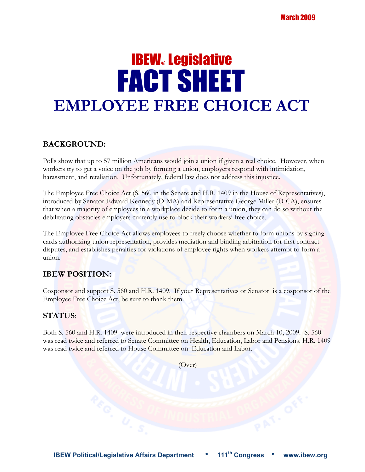# **IBEW® Legislative**  FACT SHEET **EMPLOYEE FREE CHOICE ACT**

#### **BACKGROUND:**

Polls show that up to 57 million Americans would join a union if given a real choice. However, when workers try to get a voice on the job by forming a union, employers respond with intimidation, harassment, and retaliation. Unfortunately, federal law does not address this injustice.

The Employee Free Choice Act (S. 560 in the Senate and H.R. 1409 in the House of Representatives), introduced by Senator Edward Kennedy (D-MA) and Representative George Miller (D-CA), ensures that when a majority of employees in a workplace decide to form a union, they can do so without the debilitating obstacles employers currently use to block their workers' free choice.

The Employee Free Choice Act allows employees to freely choose whether to form unions by signing cards authorizing union representation, provides mediation and binding arbitration for first contract disputes, and establishes penalties for violations of employee rights when workers attempt to form a union.

### **IBEW POSITION:**

Cosponsor and support S. 560 and H.R. 1409. If your Representatives or Senator is a cosponsor of the Employee Free Choice Act, be sure to thank them.

#### **STATUS**:

Both S. 560 and H.R. 1409 were introduced in their respective chambers on March 10, 2009. S. 560 was read twice and referred to Senate Committee on Health, Education, Labor and Pensions. H.R. 1409 was read twice and referred to House Committee on Education and Labor.

(Over)